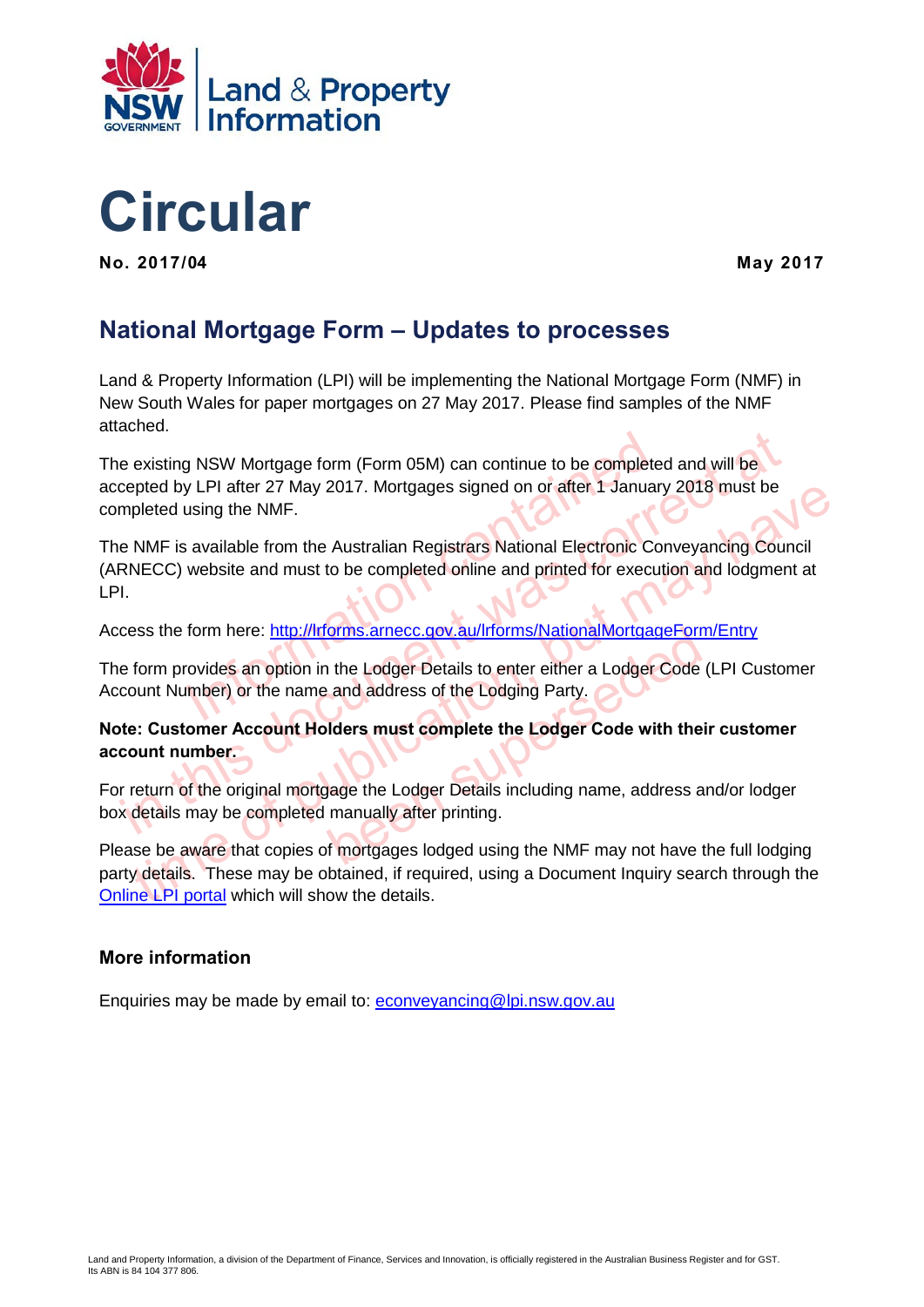



**No. 2017/04**

**May 2017** 

## **National Mortgage Form – Updates to processes**

Land & Property Information (LPI) will be implementing the National Mortgage Form (NMF) in New South Wales for paper mortgages on 27 May 2017. Please find samples of the NMF attached.

The existing NSW Mortgage form (Form 05M) can continue to be completed and will be accepted by LPI after 27 May 2017. Mortgages signed on or after 1 January 2018 must be completed using the NMF.

If NSW Mortgage form (Form 05M) can continue to be completed of LPI after 27 May 2017. Mortgages signed on or after 1 January<br>using the NMF.<br>available from the Australian Registrars National Electronic Cor<br>website and must Existing NSW Mortgage form (Form 05M) can continue to be completed and will be<br>cepted by LPI after 27 May 2017. Mortgages signed on or after 1 January 2018 must be<br>mpleted using the NMF.<br>e NMF is available from the Austral phed by LPI atter 27 May 2017. Mortgages signed on or atter 1 January 2018 must be<br>pleted using the NMF.<br>NMF is available from the Australian Registrars National Electronic Conveyancing Council<br>NECC) website and must to be The NMF is available from the Australian Registrars National Electronic Conveyancing Council (ARNECC) website and must to be completed online and printed for execution and lodgment at LPI.

Access the form here: http://lrforms.arnecc.gov.au/lrforms/NationalMortgageForm/Entry

France C. Cov. au/Irforms/NationalMortgageForm<br>
I the Lodger Details to enter either a Lodger Code (<br>
and address of the Lodging Party.<br>
Iders must complete the Lodger Code with their<br>
Jage the Lodger Details including nam The form provides an option in the Lodger Details to enter either a Lodger Code (LPI Customer Account Number) or the name and address of the Lodging Party.

**Note: Customer Account Holders must complete the Lodger Code with their customer account number.** 

For return of the original mortgage the Lodger Details including name, address and/or lodger box details may be completed manually after printing.

Please be aware that copies of mortgages lodged using the NMF may not have the full lodging party details. These may be obtained, if required, using a Document Inquiry search through the [Online LPI portal](https://online.lpi.nsw.gov.au/) which will show the details.

#### **More information**

Enquiries may be made by email to: [econveyancing@lpi.nsw.gov.au](mailto:econveyancing@lpi.nsw.gov.au)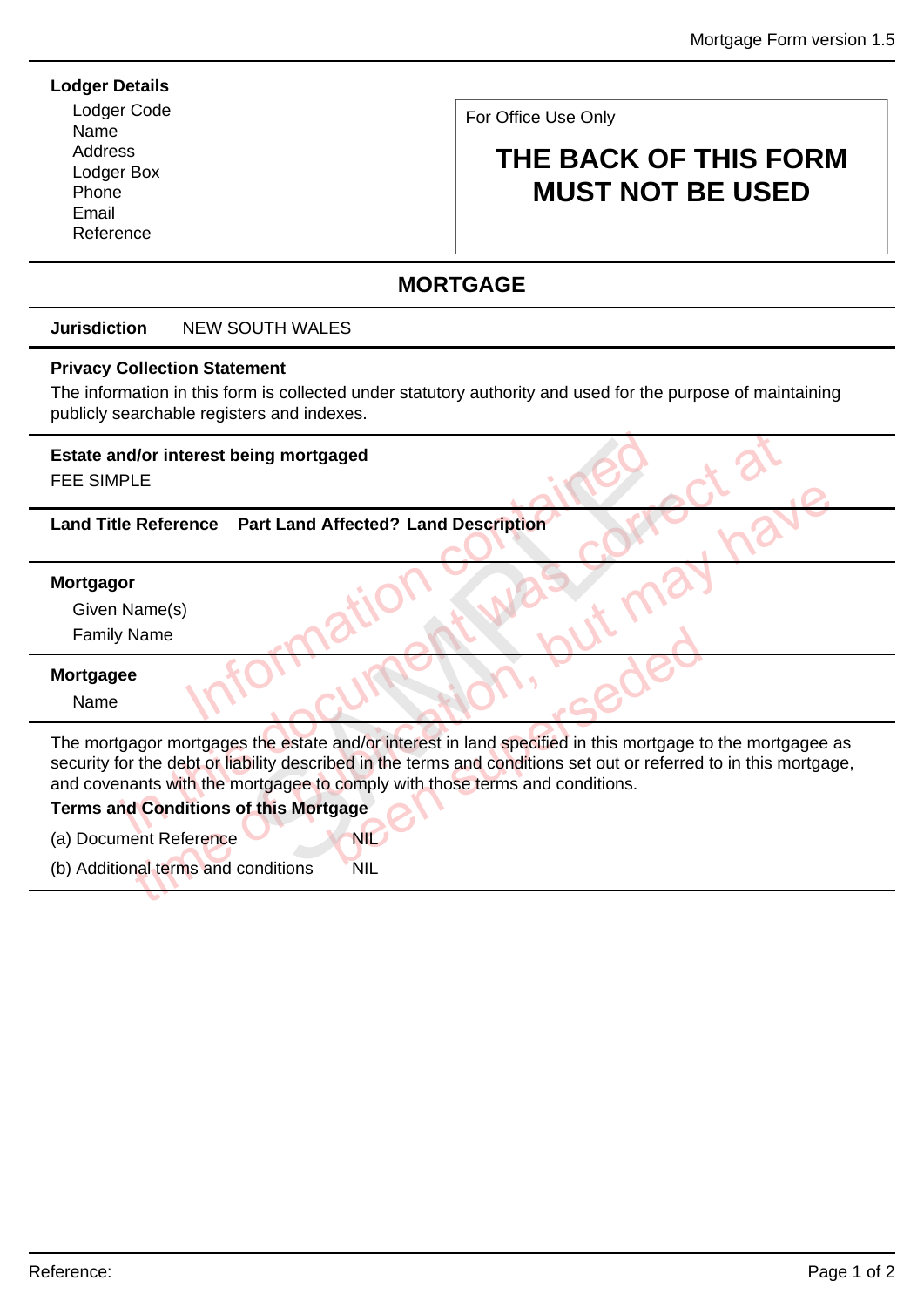#### **Lodger Details**

Lodger Code Name **Address** Lodger Box Phone Email Reference

For Office Use Only

# **THE BACK OF THIS FORM MUST NOT BE USED**

## **MORTGAGE**

#### **Jurisdiction** NEW SOUTH WALES

#### **Privacy Collection Statement**

The information in this form is collected under statutory authority and used for the purpose of maintaining publicly searchable registers and indexes.

## **Estate and/or interest being mortgaged**

FEE SIMPLE

# Information with put m **Land Title Reference Part Land Affected? Land Description**

#### **Mortgagor**

Given Name(s)

Family Name

#### **Mortgagee**

Name

multiple in the reference Part Land Affected? Land Description<br>
The Reference Part Land Affected? Land Description<br>
Thame(s)<br>
Thame<br>
(Name<br>
ee<br>
gagor mortgages the estate and/or interest in land specified in this mortgage time of publication, but may have and/or interest in land specified in this mortgage to<br>bed in the terms and conditions set out or referred<br>begage<br>NIL Part Land Affected? Land Description<br>Part Land Affected? Land Description<br>Sample of the Contract of the Contract of the Section<br>Sample of the terms and conditions set out or referency<br>on this Mortgage<br>Conditions The mortgagor mortgages the estate and/or interest in land specified in this mortgage to the mortgagee as security for the debt or liability described in the terms and conditions set out or referred to in this mortgage, and covenants with the mortgagee to comply with those terms and conditions.

#### **Terms and Conditions of this Mortgage**

(a) Document Reference

(b) Additional terms and conditions NIL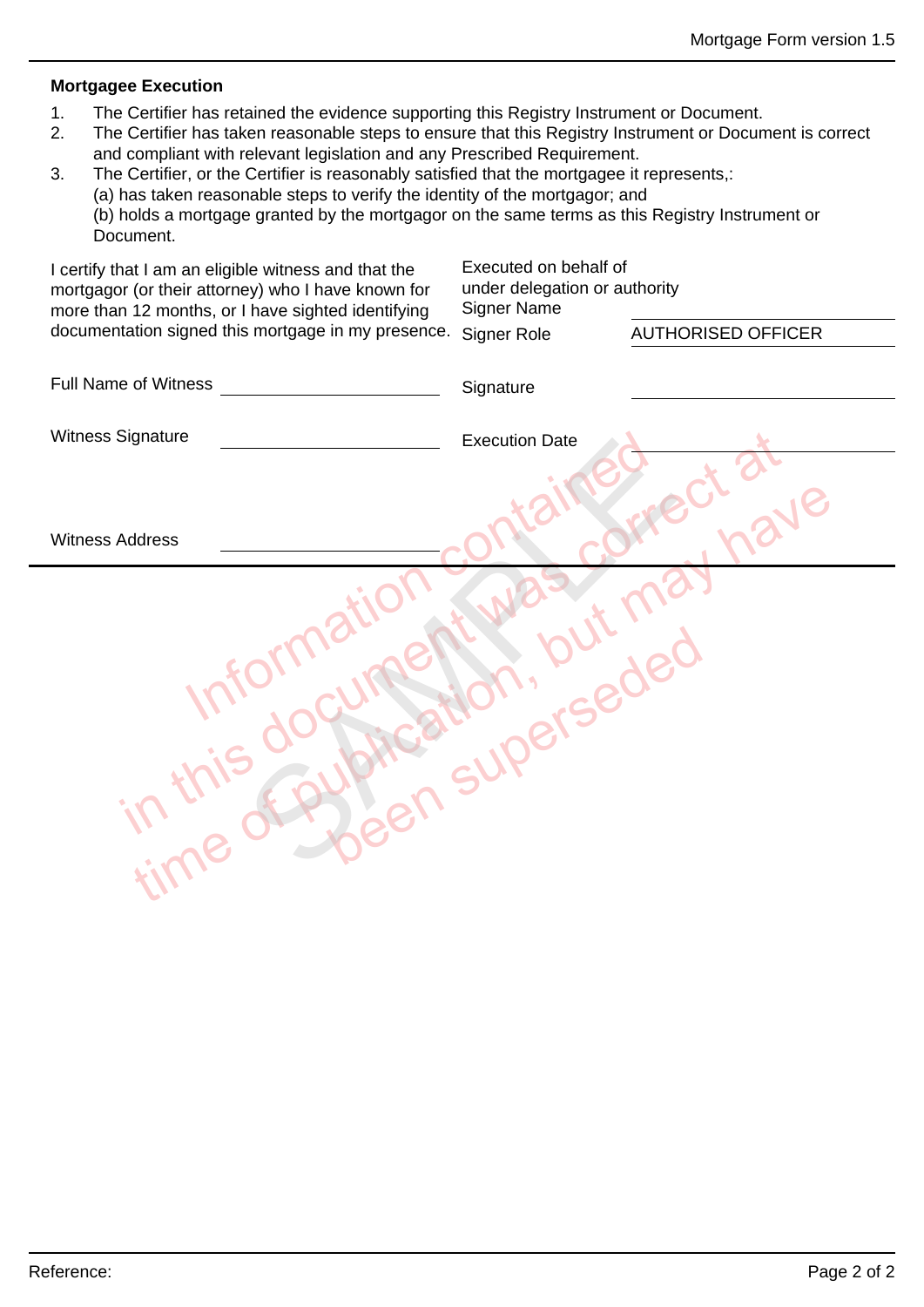#### **Mortgagee Execution**

- 1. The Certifier has retained the evidence supporting this Registry Instrument or Document.
- 2. The Certifier has taken reasonable steps to ensure that this Registry Instrument or Document is correct and compliant with relevant legislation and any Prescribed Requirement.
- 3. The Certifier, or the Certifier is reasonably satisfied that the mortgagee it represents,: (a) has taken reasonable steps to verify the identity of the mortgagor; and (b) holds a mortgage granted by the mortgagor on the same terms as this Registry Instrument or Document.

| I certify that I am an eligible witness and that the<br>mortgagor (or their attorney) who I have known for<br>more than 12 months, or I have sighted identifying | Executed on behalf of<br>under delegation or authority<br><b>Signer Name</b> |                           |
|------------------------------------------------------------------------------------------------------------------------------------------------------------------|------------------------------------------------------------------------------|---------------------------|
| documentation signed this mortgage in my presence.                                                                                                               | Signer Role                                                                  | <b>AUTHORISED OFFICER</b> |
| <b>Full Name of Witness</b>                                                                                                                                      | Signature                                                                    |                           |
| Witness Signature                                                                                                                                                | <b>Execution Date</b>                                                        |                           |
|                                                                                                                                                                  |                                                                              |                           |
| <b>Witness Address</b>                                                                                                                                           |                                                                              |                           |
|                                                                                                                                                                  |                                                                              |                           |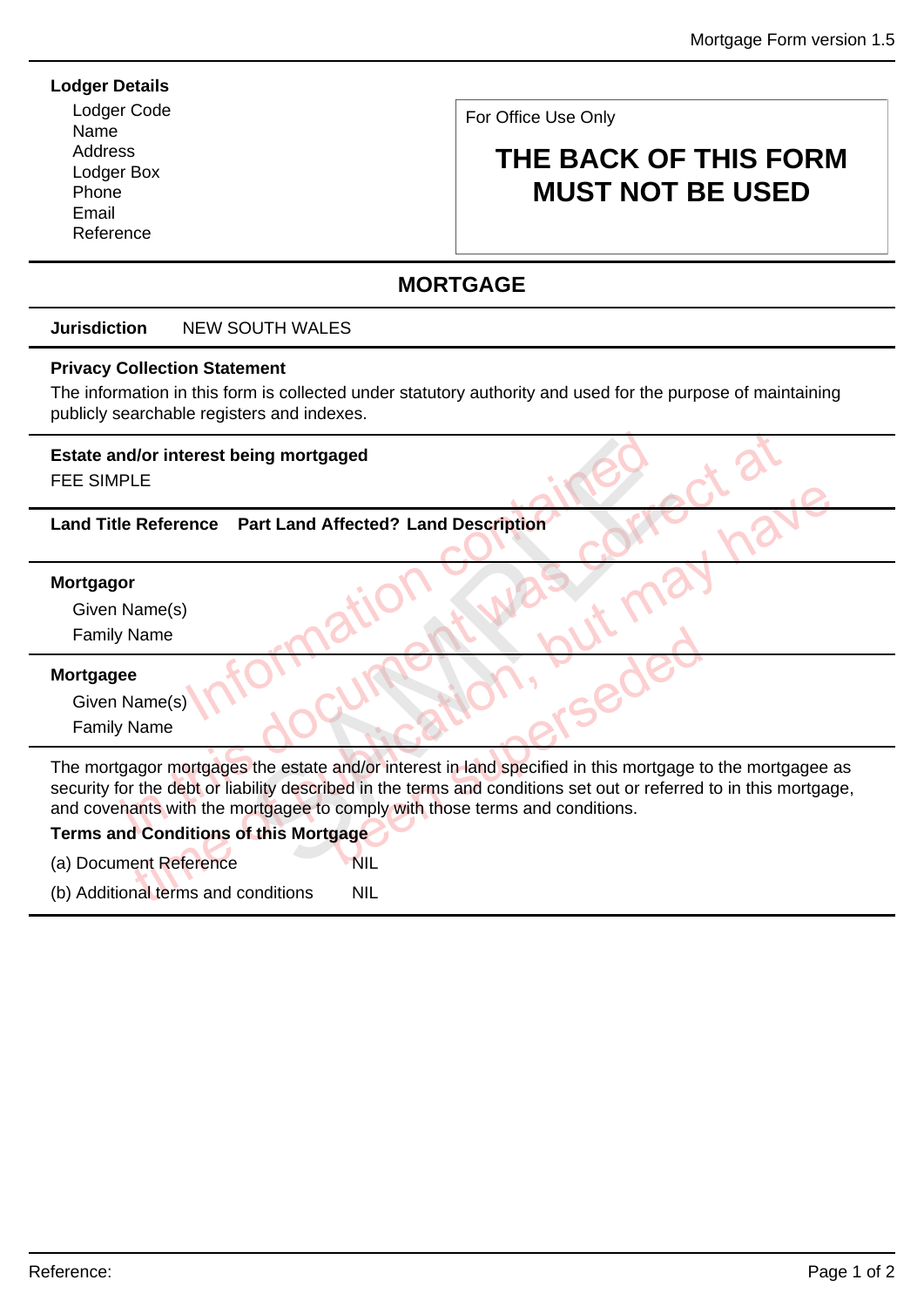#### **Lodger Details**

Lodger Code Name Address Lodger Box Phone Email Reference

For Office Use Only

# **THE BACK OF THIS FORM MUST NOT BE USED**

### **MORTGAGE**

#### **Jurisdiction** NEW SOUTH WALES

#### **Privacy Collection Statement**

The information in this form is collected under statutory authority and used for the purpose of maintaining publicly searchable registers and indexes.

## **Estate and/or interest being mortgaged**

FEE SIMPLE

# Information with put m **Land Title Reference Part Land Affected? Land Description**

#### **Mortgagor**

Given Name(s) Family Name

#### **Mortgagee**

Given Name(s) Family Name

Marine (s)<br>
In the Reference Part Land Affected? Land Description<br>
In Name(s)<br>
In Name<br>
(Name(s)<br>
In Name<br>
(Name(s)<br>
(Name<br>
(Name)<br>
(Name<br>
(Name)<br>
(Name)<br>
(Name)<br>
(Name)<br>
(Name)<br>
(Name)<br>
(Name)<br>
(Name)<br>
(Name)<br>
(Name)<br>
(Na Reference Part Land Affected? Land Description<br>
Name<br>
Name<br>
Name<br>
Part (1)<br>
Name<br>
Part (1)<br>
Name<br>
Part (1)<br>
Name<br>
Name<br>
Part (1)<br>
Name<br>
Part (1)<br>
Name<br>
Part (1)<br>
Part (1)<br>
Part (1)<br>
Part (1)<br>
Part (1)<br>
Part (1)<br>
Part (1)<br> Been superior of the terms and conditions. Part Land Affected? Land Description<br>Part Land Affected? Land Description<br>CONTROLLING TO THE CONTROLLING TO THE CONTROLLING TO THE CONTROLLING TO THE CONTROLLING TO THE SCRIPTION OF THE CONTROLLING OF THE CONTROLLING OF TH The mortgagor mortgages the estate and/or interest in land specified in this mortgage to the mortgagee as security for the debt or liability described in the terms and conditions set out or referred to in this mortgage, and covenants with the mortgagee to comply with those terms and conditions.

#### **Terms and Conditions of this Mortgage**

(a) Document Reference NIL

(b) Additional terms and conditions NIL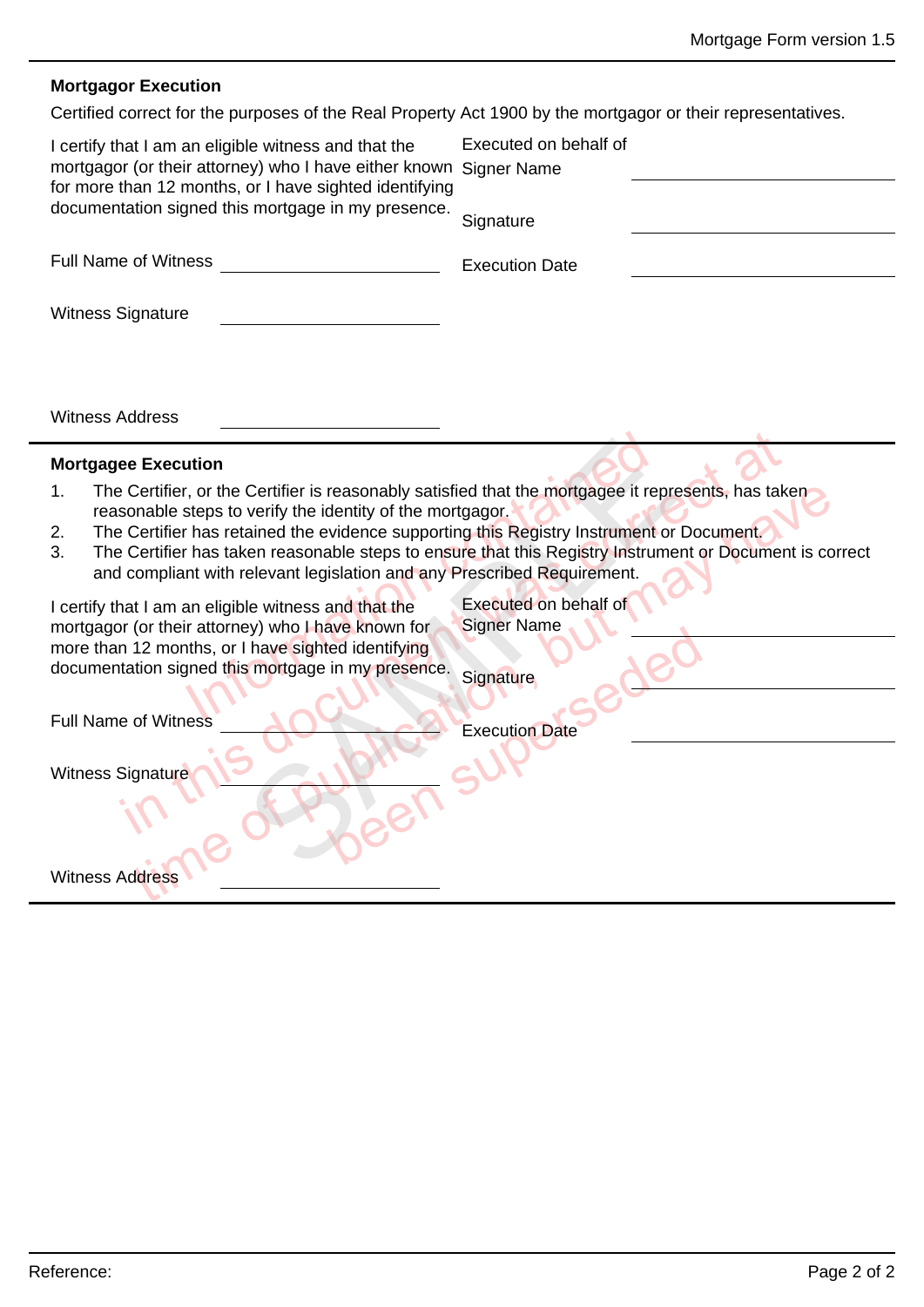### **Mortgagor Execution**

Certified correct for the purposes of the Real Property Act 1900 by the mortgagor or their representatives.

| I certify that I am an eligible witness and that the<br>mortgagor (or their attorney) who I have either known Signer Name<br>for more than 12 months, or I have sighted identifying<br>documentation signed this mortgage in my presence.<br><b>Full Name of Witness</b><br><b>Witness Signature</b>                                                                                                                                                                                                                                                                                | Executed on behalf of<br>Signature<br><b>Execution Date</b>                                                                                                                |
|-------------------------------------------------------------------------------------------------------------------------------------------------------------------------------------------------------------------------------------------------------------------------------------------------------------------------------------------------------------------------------------------------------------------------------------------------------------------------------------------------------------------------------------------------------------------------------------|----------------------------------------------------------------------------------------------------------------------------------------------------------------------------|
| <b>Witness Address</b>                                                                                                                                                                                                                                                                                                                                                                                                                                                                                                                                                              |                                                                                                                                                                            |
| <b>Mortgagee Execution</b>                                                                                                                                                                                                                                                                                                                                                                                                                                                                                                                                                          |                                                                                                                                                                            |
| The Certifier, or the Certifier is reasonably satisfied that the mortgagee it represents, has taken<br>1.<br>reasonable steps to verify the identity of the mortgagor.<br>The Certifier has retained the evidence supporting this Registry Instrument or Document.<br>2.<br>3.<br>and compliant with relevant legislation and any Prescribed Requirement.<br>I certify that I am an eligible witness and that the<br>mortgagor (or their attorney) who I have known for<br>more than 12 months, or I have sighted identifying<br>documentation signed this mortgage in my presence. | The Certifier has taken reasonable steps to ensure that this Registry Instrument or Document is correct<br><b>Executed on behalf of</b><br><b>Signer Name</b><br>Signature |
| <b>Full Name of Witness</b>                                                                                                                                                                                                                                                                                                                                                                                                                                                                                                                                                         | <b>Execution Date</b>                                                                                                                                                      |
| <b>Witness Signature</b><br><b>Witness Address</b>                                                                                                                                                                                                                                                                                                                                                                                                                                                                                                                                  |                                                                                                                                                                            |